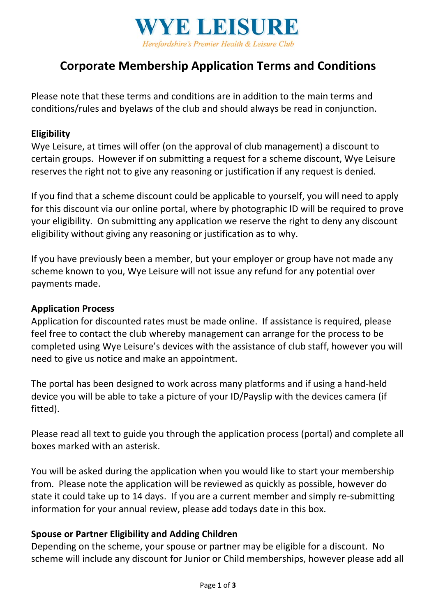

# **Corporate Membership Application Terms and Conditions**

Please note that these terms and conditions are in addition to the main terms and conditions/rules and byelaws of the club and should always be read in conjunction.

#### **Eligibility**

Wye Leisure, at times will offer (on the approval of club management) a discount to certain groups. However if on submitting a request for a scheme discount, Wye Leisure reserves the right not to give any reasoning or justification if any request is denied.

If you find that a scheme discount could be applicable to yourself, you will need to apply for this discount via our online portal, where by photographic ID will be required to prove your eligibility. On submitting any application we reserve the right to deny any discount eligibility without giving any reasoning or justification as to why.

If you have previously been a member, but your employer or group have not made any scheme known to you, Wye Leisure will not issue any refund for any potential over payments made.

#### **Application Process**

Application for discounted rates must be made online. If assistance is required, please feel free to contact the club whereby management can arrange for the process to be completed using Wye Leisure's devices with the assistance of club staff, however you will need to give us notice and make an appointment.

The portal has been designed to work across many platforms and if using a hand-held device you will be able to take a picture of your ID/Payslip with the devices camera (if fitted).

Please read all text to guide you through the application process (portal) and complete all boxes marked with an asterisk.

You will be asked during the application when you would like to start your membership from. Please note the application will be reviewed as quickly as possible, however do state it could take up to 14 days. If you are a current member and simply re-submitting information for your annual review, please add todays date in this box.

#### **Spouse or Partner Eligibility and Adding Children**

Depending on the scheme, your spouse or partner may be eligible for a discount. No scheme will include any discount for Junior or Child memberships, however please add all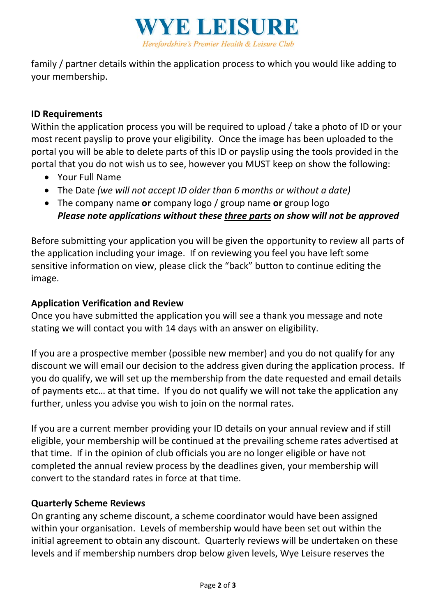

family / partner details within the application process to which you would like adding to your membership.

# **ID Requirements**

Within the application process you will be required to upload / take a photo of ID or your most recent payslip to prove your eligibility. Once the image has been uploaded to the portal you will be able to delete parts of this ID or payslip using the tools provided in the portal that you do not wish us to see, however you MUST keep on show the following:

- Your Full Name
- The Date *(we will not accept ID older than 6 months or without a date)*
- The company name **or** company logo / group name **or** group logo *Please note applications without these three parts on show will not be approved*

Before submitting your application you will be given the opportunity to review all parts of the application including your image. If on reviewing you feel you have left some sensitive information on view, please click the "back" button to continue editing the image.

# **Application Verification and Review**

Once you have submitted the application you will see a thank you message and note stating we will contact you with 14 days with an answer on eligibility.

If you are a prospective member (possible new member) and you do not qualify for any discount we will email our decision to the address given during the application process. If you do qualify, we will set up the membership from the date requested and email details of payments etc… at that time. If you do not qualify we will not take the application any further, unless you advise you wish to join on the normal rates.

If you are a current member providing your ID details on your annual review and if still eligible, your membership will be continued at the prevailing scheme rates advertised at that time. If in the opinion of club officials you are no longer eligible or have not completed the annual review process by the deadlines given, your membership will convert to the standard rates in force at that time.

## **Quarterly Scheme Reviews**

On granting any scheme discount, a scheme coordinator would have been assigned within your organisation. Levels of membership would have been set out within the initial agreement to obtain any discount. Quarterly reviews will be undertaken on these levels and if membership numbers drop below given levels, Wye Leisure reserves the